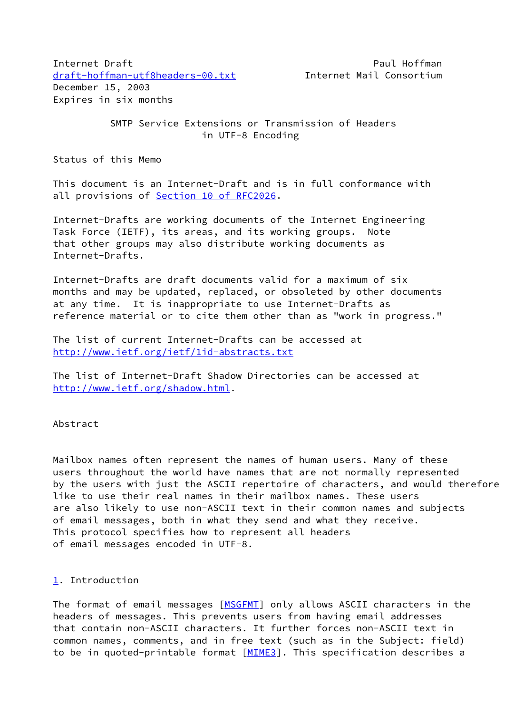Internet Draft<br>draft-hoffman-utf8headers-00.txt Paul Hoffman-utf8headers-00.txt Internet Mail Consortium [draft-hoffman-utf8headers-00.txt](https://datatracker.ietf.org/doc/pdf/draft-hoffman-utf8headers-00.txt) December 15, 2003 Expires in six months

# SMTP Service Extensions or Transmission of Headers in UTF-8 Encoding

Status of this Memo

This document is an Internet-Draft and is in full conformance with all provisions of Section [10 of RFC2026.](https://datatracker.ietf.org/doc/pdf/rfc2026#section-10)

Internet-Drafts are working documents of the Internet Engineering Task Force (IETF), its areas, and its working groups. Note that other groups may also distribute working documents as Internet-Drafts.

Internet-Drafts are draft documents valid for a maximum of six months and may be updated, replaced, or obsoleted by other documents at any time. It is inappropriate to use Internet-Drafts as reference material or to cite them other than as "work in progress."

The list of current Internet-Drafts can be accessed at <http://www.ietf.org/ietf/1id-abstracts.txt>

The list of Internet-Draft Shadow Directories can be accessed at <http://www.ietf.org/shadow.html>.

Abstract

Mailbox names often represent the names of human users. Many of these users throughout the world have names that are not normally represented by the users with just the ASCII repertoire of characters, and would therefore like to use their real names in their mailbox names. These users are also likely to use non-ASCII text in their common names and subjects of email messages, both in what they send and what they receive. This protocol specifies how to represent all headers of email messages encoded in UTF-8.

# <span id="page-0-0"></span>[1](#page-0-0). Introduction

The format of email messages [[MSGFMT](#page-7-0)] only allows ASCII characters in the headers of messages. This prevents users from having email addresses that contain non-ASCII characters. It further forces non-ASCII text in common names, comments, and in free text (such as in the Subject: field) to be in quoted-printable format [[MIME3\]](#page-7-1). This specification describes a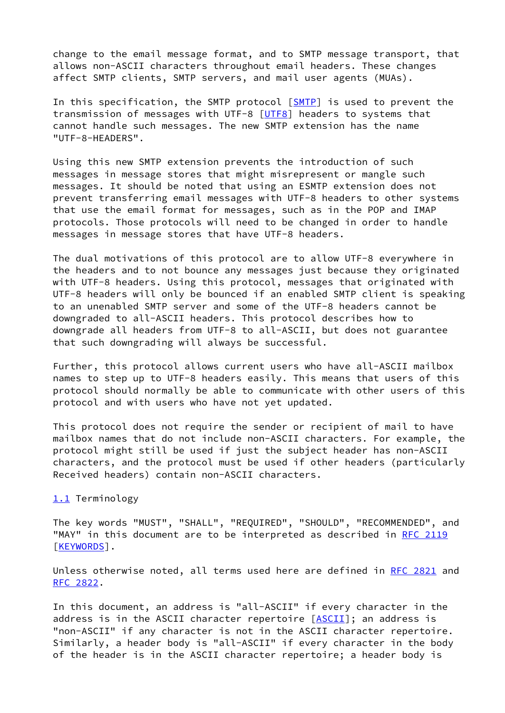change to the email message format, and to SMTP message transport, that allows non-ASCII characters throughout email headers. These changes affect SMTP clients, SMTP servers, and mail user agents (MUAs).

In this specification, the SMTP protocol [[SMTP\]](#page-7-2) is used to prevent the transmission of messages with UTF-8 [\[UTF8](#page-7-3)] headers to systems that cannot handle such messages. The new SMTP extension has the name "UTF-8-HEADERS".

Using this new SMTP extension prevents the introduction of such messages in message stores that might misrepresent or mangle such messages. It should be noted that using an ESMTP extension does not prevent transferring email messages with UTF-8 headers to other systems that use the email format for messages, such as in the POP and IMAP protocols. Those protocols will need to be changed in order to handle messages in message stores that have UTF-8 headers.

The dual motivations of this protocol are to allow UTF-8 everywhere in the headers and to not bounce any messages just because they originated with UTF-8 headers. Using this protocol, messages that originated with UTF-8 headers will only be bounced if an enabled SMTP client is speaking to an unenabled SMTP server and some of the UTF-8 headers cannot be downgraded to all-ASCII headers. This protocol describes how to downgrade all headers from UTF-8 to all-ASCII, but does not guarantee that such downgrading will always be successful.

Further, this protocol allows current users who have all-ASCII mailbox names to step up to UTF-8 headers easily. This means that users of this protocol should normally be able to communicate with other users of this protocol and with users who have not yet updated.

This protocol does not require the sender or recipient of mail to have mailbox names that do not include non-ASCII characters. For example, the protocol might still be used if just the subject header has non-ASCII characters, and the protocol must be used if other headers (particularly Received headers) contain non-ASCII characters.

# <span id="page-1-0"></span>[1.1](#page-1-0) Terminology

The key words "MUST", "SHALL", "REQUIRED", "SHOULD", "RECOMMENDED", and "MAY" in this document are to be interpreted as described in [RFC 2119](https://datatracker.ietf.org/doc/pdf/rfc2119) [\[KEYWORDS](#page-7-4)].

Unless otherwise noted, all terms used here are defined in [RFC 2821](https://datatracker.ietf.org/doc/pdf/rfc2821) and [RFC 2822](https://datatracker.ietf.org/doc/pdf/rfc2822).

In this document, an address is "all-ASCII" if every character in the address is in the ASCII character repertoire [[ASCII\]](#page-7-5); an address is "non-ASCII" if any character is not in the ASCII character repertoire. Similarly, a header body is "all-ASCII" if every character in the body of the header is in the ASCII character repertoire; a header body is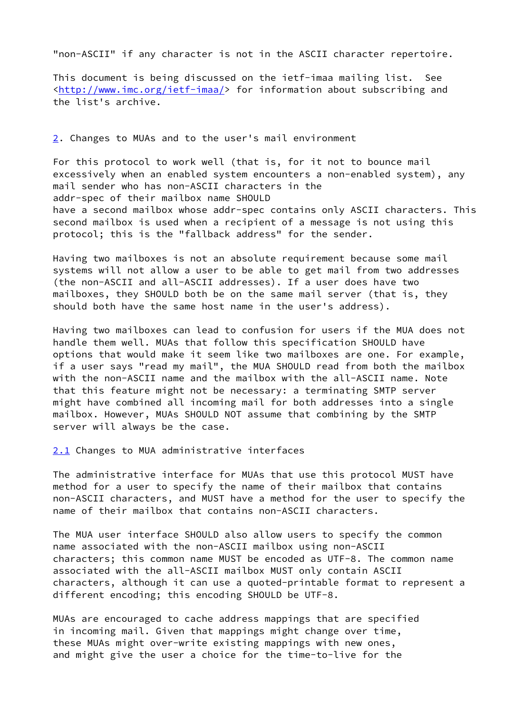"non-ASCII" if any character is not in the ASCII character repertoire.

This document is being discussed on the ietf-imaa mailing list. See [<http://www.imc.org/ietf-imaa/>](http://www.imc.org/ietf-imaa/) for information about subscribing and the list's archive.

<span id="page-2-0"></span>[2](#page-2-0). Changes to MUAs and to the user's mail environment

For this protocol to work well (that is, for it not to bounce mail excessively when an enabled system encounters a non-enabled system), any mail sender who has non-ASCII characters in the addr-spec of their mailbox name SHOULD have a second mailbox whose addr-spec contains only ASCII characters. This second mailbox is used when a recipient of a message is not using this protocol; this is the "fallback address" for the sender.

Having two mailboxes is not an absolute requirement because some mail systems will not allow a user to be able to get mail from two addresses (the non-ASCII and all-ASCII addresses). If a user does have two mailboxes, they SHOULD both be on the same mail server (that is, they should both have the same host name in the user's address).

Having two mailboxes can lead to confusion for users if the MUA does not handle them well. MUAs that follow this specification SHOULD have options that would make it seem like two mailboxes are one. For example, if a user says "read my mail", the MUA SHOULD read from both the mailbox with the non-ASCII name and the mailbox with the all-ASCII name. Note that this feature might not be necessary: a terminating SMTP server might have combined all incoming mail for both addresses into a single mailbox. However, MUAs SHOULD NOT assume that combining by the SMTP server will always be the case.

<span id="page-2-1"></span>[2.1](#page-2-1) Changes to MUA administrative interfaces

The administrative interface for MUAs that use this protocol MUST have method for a user to specify the name of their mailbox that contains non-ASCII characters, and MUST have a method for the user to specify the name of their mailbox that contains non-ASCII characters.

The MUA user interface SHOULD also allow users to specify the common name associated with the non-ASCII mailbox using non-ASCII characters; this common name MUST be encoded as UTF-8. The common name associated with the all-ASCII mailbox MUST only contain ASCII characters, although it can use a quoted-printable format to represent a different encoding; this encoding SHOULD be UTF-8.

MUAs are encouraged to cache address mappings that are specified in incoming mail. Given that mappings might change over time, these MUAs might over-write existing mappings with new ones, and might give the user a choice for the time-to-live for the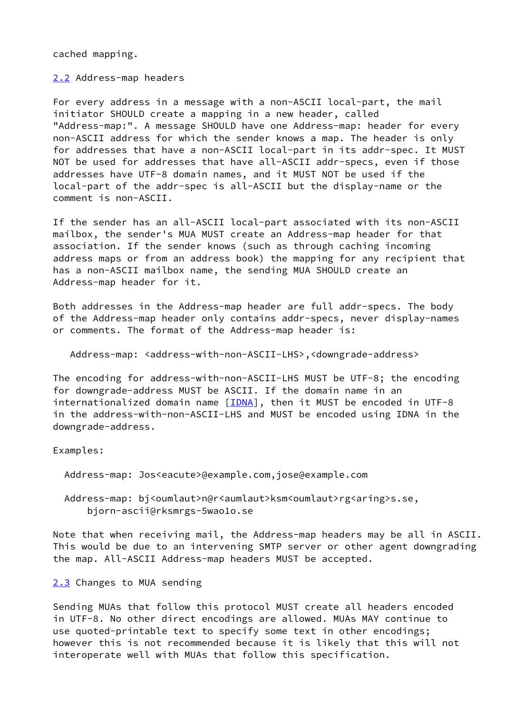cached mapping.

<span id="page-3-0"></span>[2.2](#page-3-0) Address-map headers

For every address in a message with a non-ASCII local-part, the mail initiator SHOULD create a mapping in a new header, called "Address-map:". A message SHOULD have one Address-map: header for every non-ASCII address for which the sender knows a map. The header is only for addresses that have a non-ASCII local-part in its addr-spec. It MUST NOT be used for addresses that have all-ASCII addr-specs, even if those addresses have UTF-8 domain names, and it MUST NOT be used if the local-part of the addr-spec is all-ASCII but the display-name or the comment is non-ASCII.

If the sender has an all-ASCII local-part associated with its non-ASCII mailbox, the sender's MUA MUST create an Address-map header for that association. If the sender knows (such as through caching incoming address maps or from an address book) the mapping for any recipient that has a non-ASCII mailbox name, the sending MUA SHOULD create an Address-map header for it.

Both addresses in the Address-map header are full addr-specs. The body of the Address-map header only contains addr-specs, never display-names or comments. The format of the Address-map header is:

Address-map: <address-with-non-ASCII-LHS>,<downgrade-address>

The encoding for address-with-non-ASCII-LHS MUST be UTF-8; the encoding for downgrade-address MUST be ASCII. If the domain name in an internationalized domain name  $[IDNA]$  $[IDNA]$ , then it MUST be encoded in UTF-8 in the address-with-non-ASCII-LHS and MUST be encoded using IDNA in the downgrade-address.

Examples:

Address-map: Jos<eacute>@example.com,jose@example.com

Address-map: bj<oumlaut>n@r<aumlaut>ksm<oumlaut>rg<aring>s.se, bjorn-ascii@rksmrgs-5wao1o.se

Note that when receiving mail, the Address-map headers may be all in ASCII. This would be due to an intervening SMTP server or other agent downgrading the map. All-ASCII Address-map headers MUST be accepted.

<span id="page-3-1"></span>[2.3](#page-3-1) Changes to MUA sending

Sending MUAs that follow this protocol MUST create all headers encoded in UTF-8. No other direct encodings are allowed. MUAs MAY continue to use quoted-printable text to specify some text in other encodings; however this is not recommended because it is likely that this will not interoperate well with MUAs that follow this specification.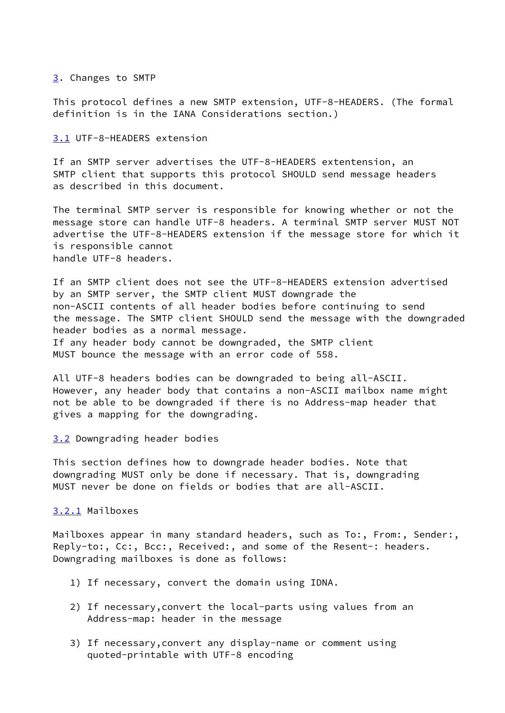#### <span id="page-4-0"></span>[3](#page-4-0). Changes to SMTP

This protocol defines a new SMTP extension, UTF-8-HEADERS. (The formal definition is in the IANA Considerations section.)

#### <span id="page-4-1"></span>[3.1](#page-4-1) UTF-8-HEADERS extension

If an SMTP server advertises the UTF-8-HEADERS extentension, an SMTP client that supports this protocol SHOULD send message headers as described in this document.

The terminal SMTP server is responsible for knowing whether or not the message store can handle UTF-8 headers. A terminal SMTP server MUST NOT advertise the UTF-8-HEADERS extension if the message store for which it is responsible cannot handle UTF-8 headers.

If an SMTP client does not see the UTF-8-HEADERS extension advertised by an SMTP server, the SMTP client MUST downgrade the non-ASCII contents of all header bodies before continuing to send the message. The SMTP client SHOULD send the message with the downgraded header bodies as a normal message. If any header body cannot be downgraded, the SMTP client MUST bounce the message with an error code of 558.

All UTF-8 headers bodies can be downgraded to being all-ASCII. However, any header body that contains a non-ASCII mailbox name might not be able to be downgraded if there is no Address-map header that gives a mapping for the downgrading.

#### <span id="page-4-2"></span>[3.2](#page-4-2) Downgrading header bodies

This section defines how to downgrade header bodies. Note that downgrading MUST only be done if necessary. That is, downgrading MUST never be done on fields or bodies that are all-ASCII.

### <span id="page-4-3"></span>[3.2.1](#page-4-3) Mailboxes

Mailboxes appear in many standard headers, such as To:, From:, Sender:, Reply-to:, Cc:, Bcc:, Received:, and some of the Resent-: headers. Downgrading mailboxes is done as follows:

- 1) If necessary, convert the domain using IDNA.
- 2) If necessary,convert the local-parts using values from an Address-map: header in the message
- 3) If necessary,convert any display-name or comment using quoted-printable with UTF-8 encoding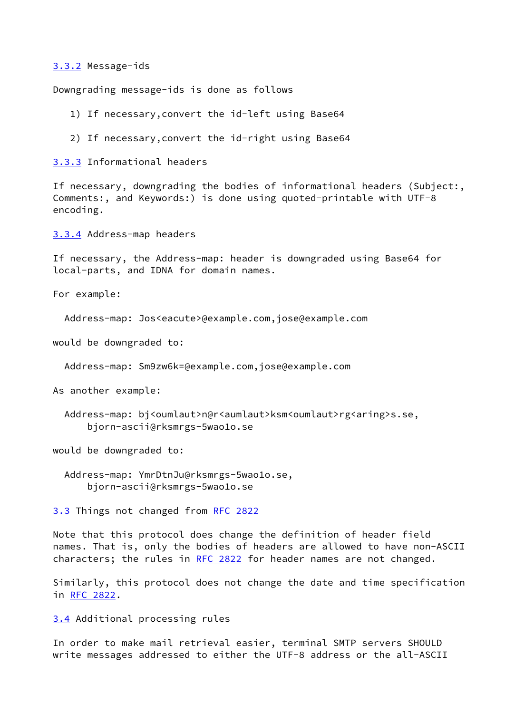#### <span id="page-5-0"></span>[3.3.2](#page-5-0) Message-ids

Downgrading message-ids is done as follows

1) If necessary,convert the id-left using Base64

2) If necessary,convert the id-right using Base64

<span id="page-5-1"></span>[3.3.3](#page-5-1) Informational headers

If necessary, downgrading the bodies of informational headers (Subject:, Comments:, and Keywords:) is done using quoted-printable with UTF-8 encoding.

<span id="page-5-2"></span>[3.3.4](#page-5-2) Address-map headers

If necessary, the Address-map: header is downgraded using Base64 for local-parts, and IDNA for domain names.

For example:

Address-map: Jos<eacute>@example.com,jose@example.com

would be downgraded to:

Address-map: Sm9zw6k=@example.com,jose@example.com

As another example:

Address-map: bj<oumlaut>n@r<aumlaut>ksm<oumlaut>rg<aring>s.se, bjorn-ascii@rksmrgs-5wao1o.se

would be downgraded to:

 Address-map: YmrDtnJu@rksmrgs-5wao1o.se, bjorn-ascii@rksmrgs-5wao1o.se

<span id="page-5-3"></span>[3.3](#page-5-3) Things not changed from [RFC 2822](https://datatracker.ietf.org/doc/pdf/rfc2822)

Note that this protocol does change the definition of header field names. That is, only the bodies of headers are allowed to have non-ASCII characters; the rules in [RFC 2822](https://datatracker.ietf.org/doc/pdf/rfc2822) for header names are not changed.

Similarly, this protocol does not change the date and time specification in [RFC 2822](https://datatracker.ietf.org/doc/pdf/rfc2822).

<span id="page-5-4"></span>[3.4](#page-5-4) Additional processing rules

In order to make mail retrieval easier, terminal SMTP servers SHOULD write messages addressed to either the UTF-8 address or the all-ASCII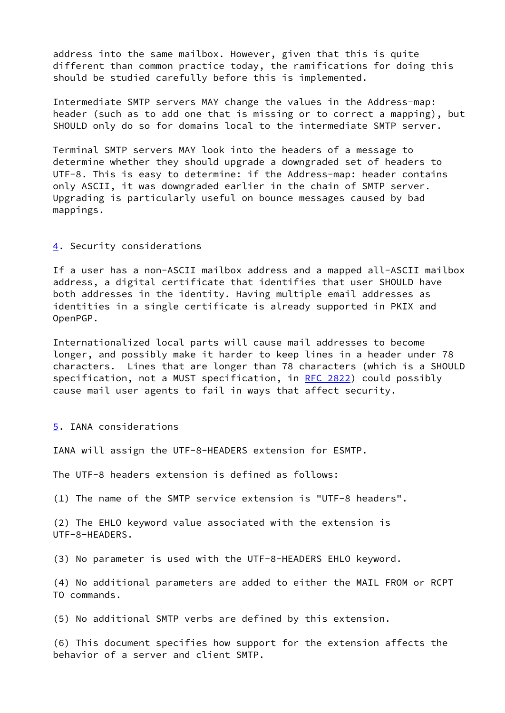address into the same mailbox. However, given that this is quite different than common practice today, the ramifications for doing this should be studied carefully before this is implemented.

Intermediate SMTP servers MAY change the values in the Address-map: header (such as to add one that is missing or to correct a mapping), but SHOULD only do so for domains local to the intermediate SMTP server.

Terminal SMTP servers MAY look into the headers of a message to determine whether they should upgrade a downgraded set of headers to UTF-8. This is easy to determine: if the Address-map: header contains only ASCII, it was downgraded earlier in the chain of SMTP server. Upgrading is particularly useful on bounce messages caused by bad mappings.

### <span id="page-6-0"></span>[4](#page-6-0). Security considerations

If a user has a non-ASCII mailbox address and a mapped all-ASCII mailbox address, a digital certificate that identifies that user SHOULD have both addresses in the identity. Having multiple email addresses as identities in a single certificate is already supported in PKIX and OpenPGP.

Internationalized local parts will cause mail addresses to become longer, and possibly make it harder to keep lines in a header under 78 characters. Lines that are longer than 78 characters (which is a SHOULD specification, not a MUST specification, in [RFC 2822](https://datatracker.ietf.org/doc/pdf/rfc2822)) could possibly cause mail user agents to fail in ways that affect security.

# <span id="page-6-1"></span>[5](#page-6-1). IANA considerations

IANA will assign the UTF-8-HEADERS extension for ESMTP.

The UTF-8 headers extension is defined as follows:

(1) The name of the SMTP service extension is "UTF-8 headers".

(2) The EHLO keyword value associated with the extension is UTF-8-HEADERS.

(3) No parameter is used with the UTF-8-HEADERS EHLO keyword.

(4) No additional parameters are added to either the MAIL FROM or RCPT TO commands.

(5) No additional SMTP verbs are defined by this extension.

(6) This document specifies how support for the extension affects the behavior of a server and client SMTP.